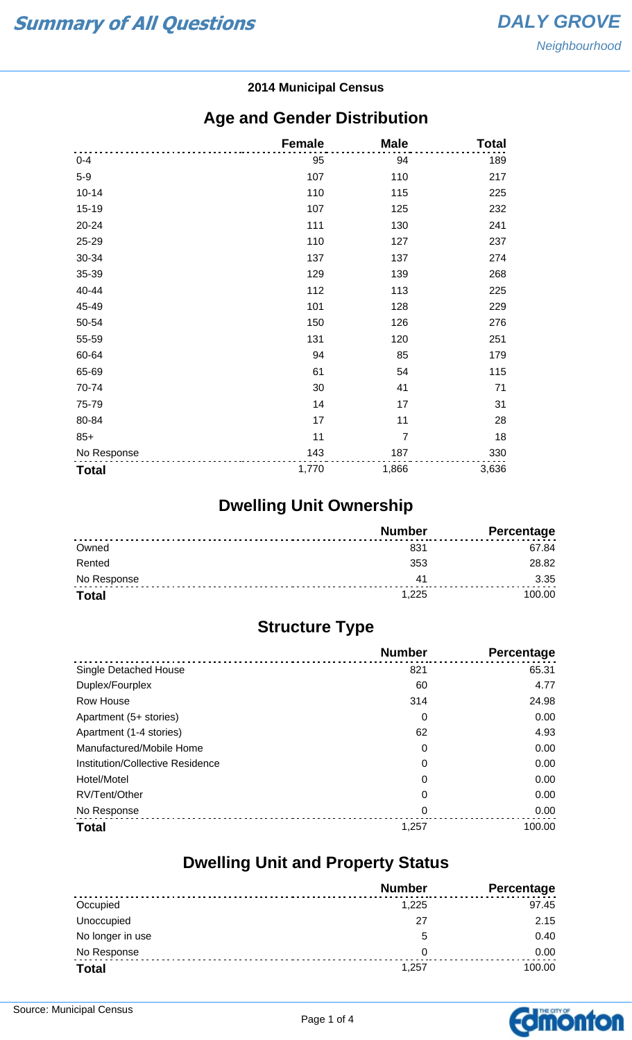#### **2014 Municipal Census**

#### **Age and Gender Distribution**

|              | <b>Female</b> | <b>Male</b>    | <b>Total</b> |
|--------------|---------------|----------------|--------------|
| $0 - 4$      | 95            | 94             | 189          |
| $5-9$        | 107           | 110            | 217          |
| $10 - 14$    | 110           | 115            | 225          |
| 15-19        | 107           | 125            | 232          |
| 20-24        | 111           | 130            | 241          |
| 25-29        | 110           | 127            | 237          |
| 30-34        | 137           | 137            | 274          |
| 35-39        | 129           | 139            | 268          |
| 40-44        | 112           | 113            | 225          |
| 45-49        | 101           | 128            | 229          |
| 50-54        | 150           | 126            | 276          |
| 55-59        | 131           | 120            | 251          |
| 60-64        | 94            | 85             | 179          |
| 65-69        | 61            | 54             | 115          |
| 70-74        | 30            | 41             | 71           |
| 75-79        | 14            | 17             | 31           |
| 80-84        | 17            | 11             | 28           |
| $85+$        | 11            | $\overline{7}$ | 18           |
| No Response  | 143           | 187            | 330          |
| <b>Total</b> | 1,770         | 1,866          | 3,636        |

## **Dwelling Unit Ownership**

|              | <b>Number</b> | Percentage |
|--------------|---------------|------------|
| Owned        | 831           | 67.84      |
| Rented       | 353           | 28.82      |
| No Response  | 41            | 3.35       |
| <b>Total</b> | 1.225         | 100.00     |

## **Structure Type**

|                                  | <b>Number</b> | <b>Percentage</b> |
|----------------------------------|---------------|-------------------|
| Single Detached House            | 821           | 65.31             |
| Duplex/Fourplex                  | 60            | 4.77              |
| Row House                        | 314           | 24.98             |
| Apartment (5+ stories)           | 0             | 0.00              |
| Apartment (1-4 stories)          | 62            | 4.93              |
| Manufactured/Mobile Home         | 0             | 0.00              |
| Institution/Collective Residence | 0             | 0.00              |
| Hotel/Motel                      | 0             | 0.00              |
| RV/Tent/Other                    | 0             | 0.00              |
| No Response                      | 0             | 0.00              |
| <b>Total</b>                     | 1,257         | 100.00            |

#### **Dwelling Unit and Property Status**

|                  | <b>Number</b> | Percentage |
|------------------|---------------|------------|
| Occupied         | 1,225         | 97.45      |
| Unoccupied       | 27            | 2.15       |
| No longer in use | 5             | 0.40       |
| No Response      | 0             | 0.00       |
| <b>Total</b>     | 1,257         | 100.00     |

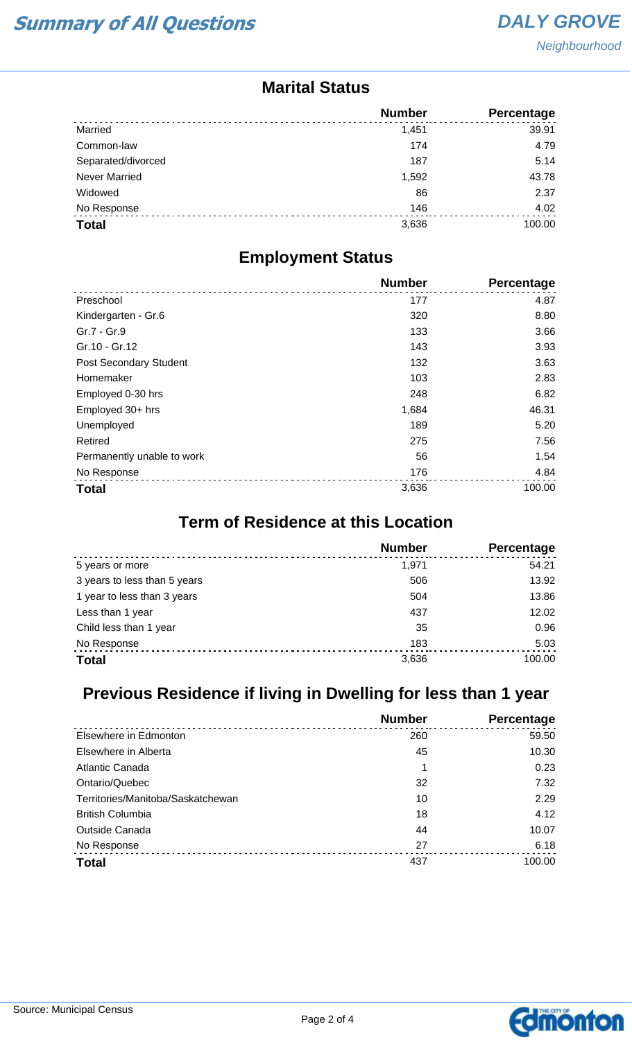#### **Marital Status**

|                      | <b>Number</b> | <b>Percentage</b> |
|----------------------|---------------|-------------------|
| Married              | 1.451         | 39.91             |
| Common-law           | 174           | 4.79              |
| Separated/divorced   | 187           | 5.14              |
| <b>Never Married</b> | 1,592         | 43.78             |
| Widowed              | 86            | 2.37              |
| No Response          | 146           | 4.02              |
| <b>Total</b>         | 3,636         | 100.00            |

#### **Employment Status**

|                            | <b>Number</b> | Percentage |
|----------------------------|---------------|------------|
| Preschool                  | 177           | 4.87       |
| Kindergarten - Gr.6        | 320           | 8.80       |
| Gr.7 - Gr.9                | 133           | 3.66       |
| Gr.10 - Gr.12              | 143           | 3.93       |
| Post Secondary Student     | 132           | 3.63       |
| Homemaker                  | 103           | 2.83       |
| Employed 0-30 hrs          | 248           | 6.82       |
| Employed 30+ hrs           | 1,684         | 46.31      |
| Unemployed                 | 189           | 5.20       |
| Retired                    | 275           | 7.56       |
| Permanently unable to work | 56            | 1.54       |
| No Response                | 176           | 4.84       |
| <b>Total</b>               | 3,636         | 100.00     |

## **Term of Residence at this Location**

|                              | <b>Number</b> | Percentage |
|------------------------------|---------------|------------|
| 5 years or more              | 1.971         | 54.21      |
| 3 years to less than 5 years | 506           | 13.92      |
| 1 year to less than 3 years  | 504           | 13.86      |
| Less than 1 year             | 437           | 12.02      |
| Child less than 1 year       | 35            | 0.96       |
| No Response                  | 183           | 5.03       |
| <b>Total</b>                 | 3,636         | 100.00     |

## **Previous Residence if living in Dwelling for less than 1 year**

|                                   | <b>Number</b> | Percentage |
|-----------------------------------|---------------|------------|
| Elsewhere in Edmonton             | 260           | 59.50      |
| Elsewhere in Alberta              | 45            | 10.30      |
| Atlantic Canada                   | 1             | 0.23       |
| Ontario/Quebec                    | 32            | 7.32       |
| Territories/Manitoba/Saskatchewan | 10            | 2.29       |
| <b>British Columbia</b>           | 18            | 4.12       |
| <b>Outside Canada</b>             | 44            | 10.07      |
| No Response                       | 27            | 6.18       |
| <b>Total</b>                      | 437           | 100.00     |

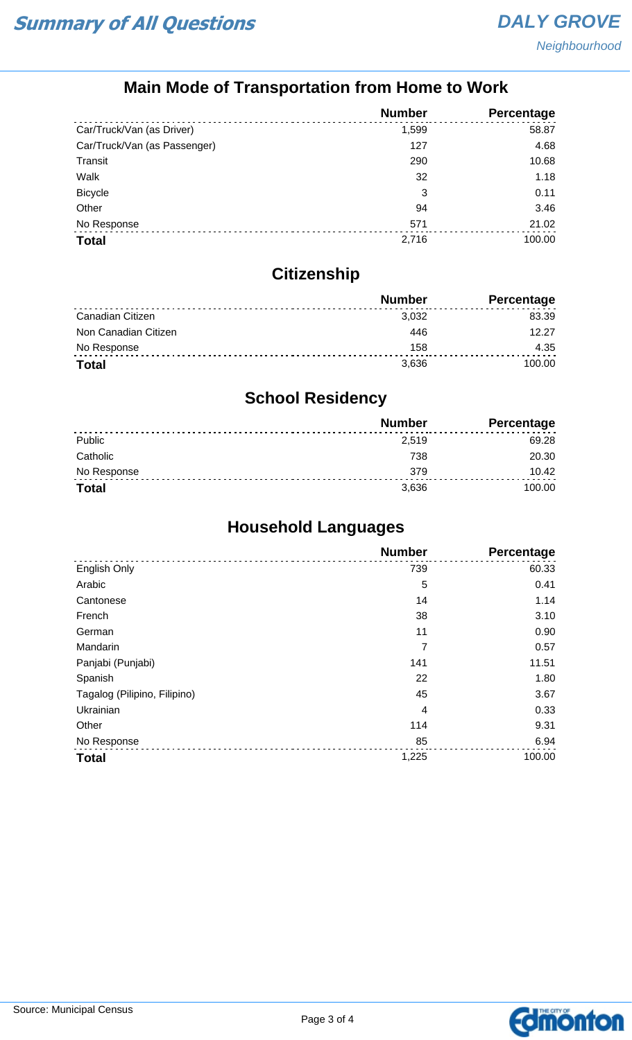## **Main Mode of Transportation from Home to Work**

|                              | <b>Number</b> | Percentage |
|------------------------------|---------------|------------|
| Car/Truck/Van (as Driver)    | 1,599         | 58.87      |
| Car/Truck/Van (as Passenger) | 127           | 4.68       |
| Transit                      | 290           | 10.68      |
| Walk                         | 32            | 1.18       |
| <b>Bicycle</b>               | 3             | 0.11       |
| Other                        | 94            | 3.46       |
| No Response                  | 571           | 21.02      |
| <b>Total</b>                 | 2,716         | 100.00     |

## **Citizenship**

|                      | <b>Number</b> | Percentage |
|----------------------|---------------|------------|
| Canadian Citizen     | 3,032         | 83.39      |
| Non Canadian Citizen | 446           | 12.27      |
| No Response          | 158           | 4.35       |
| <b>Total</b>         | 3.636         | 100.00     |

## **School Residency**

|              | <b>Number</b> | <b>Percentage</b> |
|--------------|---------------|-------------------|
| Public       | 2,519         | 69.28             |
| Catholic     | 738           | 20.30             |
| No Response  | 379           | 10.42             |
| <b>Total</b> | 3,636         | 100.00            |

## **Household Languages**

|                              | <b>Number</b> | Percentage |
|------------------------------|---------------|------------|
| English Only                 | 739           | 60.33      |
| Arabic                       | 5             | 0.41       |
| Cantonese                    | 14            | 1.14       |
| French                       | 38            | 3.10       |
| German                       | 11            | 0.90       |
| Mandarin                     | 7             | 0.57       |
| Panjabi (Punjabi)            | 141           | 11.51      |
| Spanish                      | 22            | 1.80       |
| Tagalog (Pilipino, Filipino) | 45            | 3.67       |
| Ukrainian                    | 4             | 0.33       |
| Other                        | 114           | 9.31       |
| No Response                  | 85            | 6.94       |
| <b>Total</b>                 | 1,225         | 100.00     |